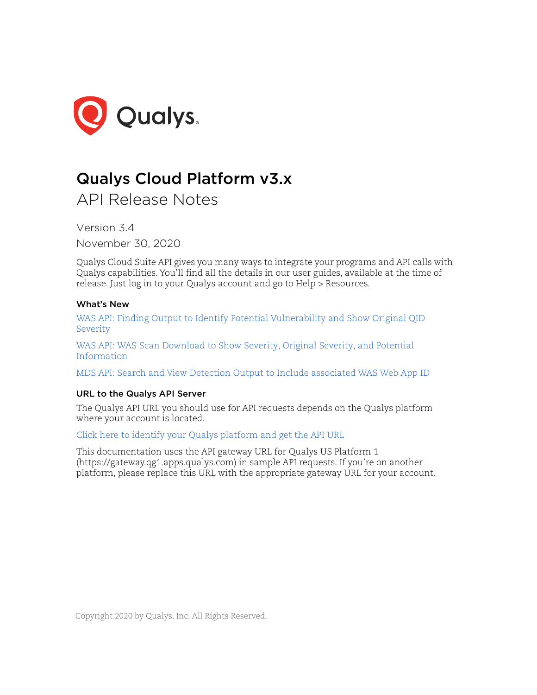

# Qualys Cloud Platform v3.x

API Release Notes

Version 3.4

November 30, 2020

Qualys Cloud Suite API gives you many ways to integrate your programs and API calls with Qualys capabilities. You'll find all the details in our user guides, available at the time of release. Just log in to your Qualys account and go to Help > Resources.

# What's New

[WAS API: Finding Output to Identify Potential Vulnerability and Show Original QID](#page-1-0)  [Severity](#page-1-0)

[WAS API: WAS Scan Download to Show Severity, Original Severity, and Potential](#page-6-0)  [Information](#page-6-0)

[MDS API: Search and View Detection Output to Include associated WAS Web App ID](#page-10-0)

# URL to the Qualys API Server

The Qualys API URL you should use for API requests depends on the Qualys platform where your account is located.

[Click here to identify your Qualys platform and get the API URL](https://www.qualys.com/platform-identification/)

This documentation uses the API gateway URL for Qualys US Platform 1 (https://gateway.qg1.apps.qualys.com) in sample API requests. If you're on another platform, please replace this URL with the appropriate gateway URL for your account.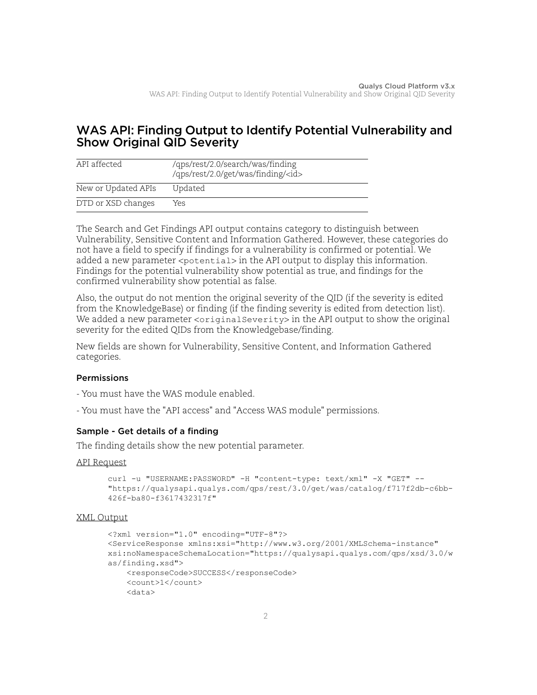# <span id="page-1-0"></span>WAS API: Finding Output to Identify Potential Vulnerability and Show Original QID Severity

| API affected        | /qps/rest/2.0/search/was/finding<br>/qps/rest/2.0/get/was/finding/ <id></id> |
|---------------------|------------------------------------------------------------------------------|
| New or Updated APIs | Updated                                                                      |
| DTD or XSD changes  | Yes                                                                          |

The Search and Get Findings API output contains category to distinguish between Vulnerability, Sensitive Content and Information Gathered. However, these categories do not have a field to specify if findings for a vulnerability is confirmed or potential. We added a new parameter <potential> in the API output to display this information. Findings for the potential vulnerability show potential as true, and findings for the confirmed vulnerability show potential as false.

Also, the output do not mention the original severity of the QID (if the severity is edited from the KnowledgeBase) or finding (if the finding severity is edited from detection list). We added a new parameter  $\langle$ originalSeverity> in the API output to show the original severity for the edited QIDs from the Knowledgebase/finding.

New fields are shown for Vulnerability, Sensitive Content, and Information Gathered categories.

# Permissions

- You must have the WAS module enabled.
- You must have the "API access" and "Access WAS module" permissions.

# Sample - Get details of a finding

The finding details show the new potential parameter.

## API Request

```
curl -u "USERNAME: PASSWORD" -H "content-type: text/xml" -X "GET" --
"https://qualysapi.qualys.com/qps/rest/3.0/get/was/catalog/f717f2db-c6bb-
426f-ba80-f3617432317f"
```

```
<?xml version="1.0" encoding="UTF-8"?>
<ServiceResponse xmlns:xsi="http://www.w3.org/2001/XMLSchema-instance" 
xsi:noNamespaceSchemaLocation="https://qualysapi.qualys.com/qps/xsd/3.0/w
as/finding.xsd">
     <responseCode>SUCCESS</responseCode>
     <count>1</count>
     <data>
```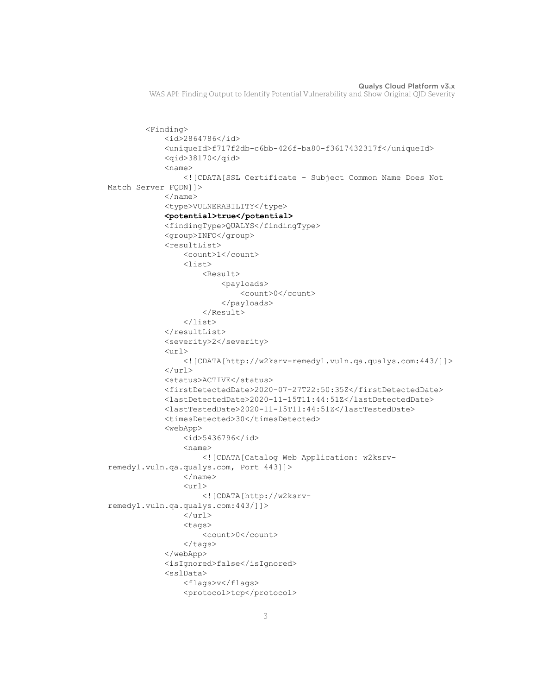```
 <Finding>
               <id>2864786</id>
               <uniqueId>f717f2db-c6bb-426f-ba80-f3617432317f</uniqueId>
               <qid>38170</qid>
              <name> <![CDATA[SSL Certificate - Subject Common Name Does Not 
Match Server FQDN]]>
             \langle/name\rangle <type>VULNERABILITY</type>
               <potential>true</potential>
               <findingType>QUALYS</findingType>
               <group>INFO</group>
               <resultList>
                   <count>1</count>
                  \langlelist\rangle <Result>
                             <payloads>
                                 <count>0</count>
                             </payloads>
                        </Result>
                  \langle/list>
             \langle/resultList>
               <severity>2</severity>
              \langle \text{url}\rangle <![CDATA[http://w2ksrv-remedy1.vuln.qa.qualys.com:443/]]>
              \langle /url> <status>ACTIVE</status>
               <firstDetectedDate>2020-07-27T22:50:35Z</firstDetectedDate>
               <lastDetectedDate>2020-11-15T11:44:51Z</lastDetectedDate>
               <lastTestedDate>2020-11-15T11:44:51Z</lastTestedDate>
              <timesDetected>30</timesDetected>
               <webApp>
                   <id>5436796</id>
                  <name> <![CDATA[Catalog Web Application: w2ksrv-
remedy1.vuln.qa.qualys.com, Port 443]]>
                  \langle/name\rangle\langle \text{url}\rangle <![CDATA[http://w2ksrv-
remedy1.vuln.qa.qualys.com:443/]]>
                  \langle /ur1 \rangle <tags>
                        <count>0</count>
                  \langletags>
               </webApp>
              <isIgnored>false</isIgnored>
               <sslData>
                   <flags>v</flags>
                   <protocol>tcp</protocol>
```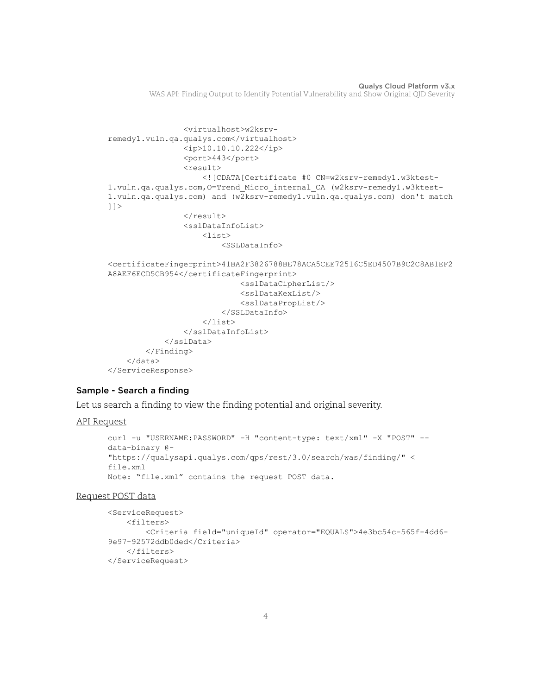```
 <virtualhost>w2ksrv-
remedy1.vuln.qa.qualys.com</virtualhost>
                  <ip>10.10.10.222</ip>
                  <port>443</port>
                  <result>
                      <![CDATA[Certificate #0 CN=w2ksrv-remedy1.w3ktest-
1.vuln.qa.qualys.com,O=Trend_Micro_internal_CA (w2ksrv-remedy1.w3ktest-
1.vuln.qa.qualys.com) and (w2ksrv-remedy1.vuln.qa.qualys.com) don't match
|1\langle/result>
                  <sslDataInfoList>
                     \langlelist\rangle <SSLDataInfo>
<certificateFingerprint>41BA2F3826788BE78ACA5CEE72516C5ED4507B9C2C8AB1EF2
A8AEF6ECD5CB954</certificateFingerprint>
                               <sslDataCipherList/>
                               <sslDataKexList/>
                               <sslDataPropList/>
                          </SSLDataInfo>
                     \langle/list>
                  </sslDataInfoList>
              </sslData>
         </Finding>
     </data>
</ServiceResponse>
```
## Sample - Search a finding

Let us search a finding to view the finding potential and original severity.

#### API Request

```
curl -u "USERNAME:PASSWORD" -H "content-type: text/xml" -X "POST" --
data-binary @-
"https://qualysapi.qualys.com/qps/rest/3.0/search/was/finding/" <
file.xml
Note: "file.xml" contains the request POST data.
```
#### Request POST data

```
<ServiceRequest>
     <filters>
         <Criteria field="uniqueId" operator="EQUALS">4e3bc54c-565f-4dd6-
9e97-92572ddb0ded</Criteria>
     </filters>
</ServiceRequest>
```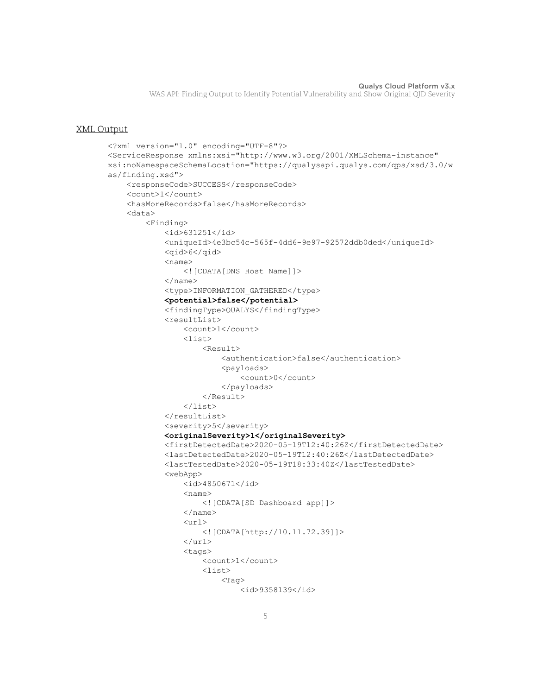```
<?xml version="1.0" encoding="UTF-8"?>
<ServiceResponse xmlns:xsi="http://www.w3.org/2001/XMLSchema-instance" 
xsi:noNamespaceSchemaLocation="https://qualysapi.qualys.com/qps/xsd/3.0/w
as/finding.xsd">
     <responseCode>SUCCESS</responseCode>
     <count>1</count>
     <hasMoreRecords>false</hasMoreRecords>
     <data>
         <Finding>
              <id>631251</id>
              <uniqueId>4e3bc54c-565f-4dd6-9e97-92572ddb0ded</uniqueId>
              <qid>6</qid>
             <name> <![CDATA[DNS Host Name]]>
             \langle/name\rangle <type>INFORMATION_GATHERED</type>
              <potential>false</potential>
              <findingType>QUALYS</findingType>
              <resultList>
                  <count>1</count>
                 <list> <Result>
                           <authentication>false</authentication>
                           <payloads>
                                <count>0</count>
                           </payloads>
                       </Result>
                 \langle/list>
             \langleresultList\rangle <severity>5</severity>
              <originalSeverity>1</originalSeverity>
              <firstDetectedDate>2020-05-19T12:40:26Z</firstDetectedDate>
              <lastDetectedDate>2020-05-19T12:40:26Z</lastDetectedDate>
              <lastTestedDate>2020-05-19T18:33:40Z</lastTestedDate>
              <webApp>
                  <id>4850671</id>
                 <name> <![CDATA[SD Dashboard app]]>
                 \langle/name\rangle\langle \text{url}\rangle <![CDATA[http://10.11.72.39]]>
                 \langle /url> <tags>
                       <count>1</count>
                       <list>
                          <Tag> <id>9358139</id>
```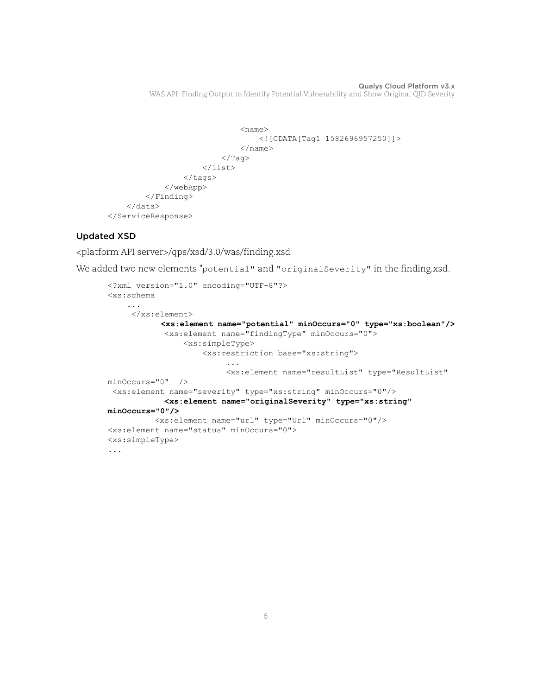```
<name> <![CDATA[Tag1 1582696957250]]>
                                 </name>
                           \langleTag>
                       </list>
                   </tags>
              </webApp>
          </Finding>
     </data>
</ServiceResponse>
```
# Updated XSD

<platform API server>/qps/xsd/3.0/was/finding.xsd

We added two new elements "potential" and "originalSeverity" in the finding.xsd.

```
<?xml version="1.0" encoding="UTF-8"?>
<xs:schema 
 ...
     </xs:element>
            <xs:element name="potential" minOccurs="0" type="xs:boolean"/>
            <xs:element name="findingType" minOccurs="0">
                <xs:simpleType>
                    <xs:restriction base="xs:string">
 ...
                         <xs:element name="resultList" type="ResultList" 
minOccurs="0" /> 
 <xs:element name="severity" type="xs:string" minOccurs="0"/>
            <xs:element name="originalSeverity" type="xs:string" 
minOccurs="0"/>
          <xs:element name="url" type="Url" minOccurs="0"/>
<xs:element name="status" minOccurs="0">
<xs:simpleType>
...
```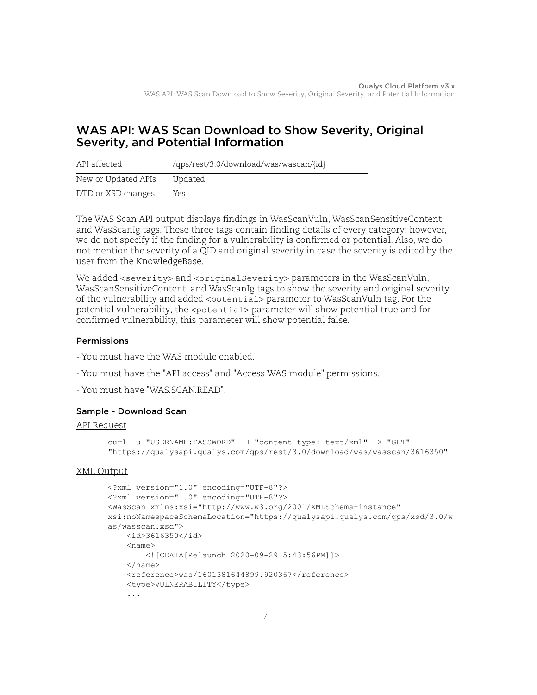# <span id="page-6-0"></span>WAS API: WAS Scan Download to Show Severity, Original Severity, and Potential Information

| API affected        | /qps/rest/3.0/download/was/wascan/{id} |
|---------------------|----------------------------------------|
| New or Updated APIs | Updated                                |
| DTD or XSD changes  | Yes.                                   |

The WAS Scan API output displays findings in WasScanVuln, WasScanSensitiveContent, and WasScanIg tags. These three tags contain finding details of every category; however, we do not specify if the finding for a vulnerability is confirmed or potential. Also, we do not mention the severity of a QID and original severity in case the severity is edited by the user from the KnowledgeBase.

We added <severity> and <originalSeverity> parameters in the WasScanVuln, WasScanSensitiveContent, and WasScanIg tags to show the severity and original severity of the vulnerability and added <potential> parameter to WasScanVuln tag. For the potential vulnerability, the <potential> parameter will show potential true and for confirmed vulnerability, this parameter will show potential false.

# Permissions

- You must have the WAS module enabled.
- You must have the "API access" and "Access WAS module" permissions.
- You must have "WAS.SCAN.READ".

# Sample - Download Scan

#### API Request

```
curl -u "USERNAME: PASSWORD" -H "content-type: text/xml" -X "GET" --
"https://qualysapi.qualys.com/qps/rest/3.0/download/was/wasscan/3616350"
```

```
<?xml version="1.0" encoding="UTF-8"?>
<?xml version="1.0" encoding="UTF-8"?>
<WasScan xmlns:xsi="http://www.w3.org/2001/XMLSchema-instance" 
xsi:noNamespaceSchemaLocation="https://qualysapi.qualys.com/qps/xsd/3.0/w
as/wasscan.xsd">
    <id>3616350</id>
    <name> <![CDATA[Relaunch 2020-09-29 5:43:56PM]]>
    \langle/name\rangle <reference>was/1601381644899.920367</reference>
     <type>VULNERABILITY</type>
     ...
```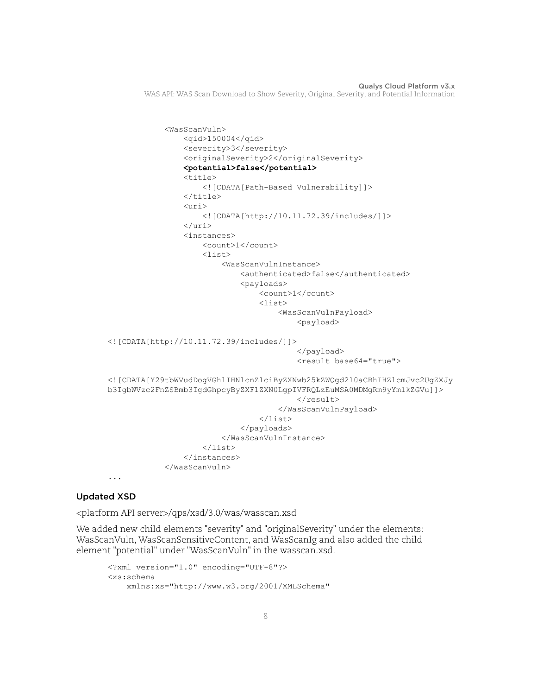```
 <WasScanVuln>
                  <qid>150004</qid>
                  <severity>3</severity>
                  <originalSeverity>2</originalSeverity>
                  <potential>false</potential>
                 <title> <![CDATA[Path-Based Vulnerability]]>
                 \langletitle>
                 \langleuri>
                       <![CDATA[http://10.11.72.39/includes/]]>
                  </uri>
                  <instances>
                       <count>1</count>
                       <list>
                           <WasScanVulnInstance>
                                <authenticated>false</authenticated>
                                <payloads>
                                    <count>1</count>
                                    <list>
                                        <WasScanVulnPayload>
                                             <payload>
<![CDATA[http://10.11.72.39/includes/]]>
                                             </payload>
                                             <result base64="true">
<![CDATA[Y29tbWVudDogVGhlIHNlcnZlciByZXNwb25kZWQgd2l0aCBhIHZlcmJvc2UgZXJy
b3IgbWVzc2FnZSBmb3IgdGhpcyByZXF1ZXN0LgpIVFRQLzEuMSA0MDMgRm9yYmlkZGVu]]>
                                            \langle/result>
                                        </WasScanVulnPayload>
                                    </list>
                                </payloads>
                           </WasScanVulnInstance>
                      \langlelist>
                  </instances>
              </WasScanVuln>
...
```
# Updated XSD

<platform API server>/qps/xsd/3.0/was/wasscan.xsd

We added new child elements "severity" and "originalSeverity" under the elements: WasScanVuln, WasScanSensitiveContent, and WasScanIg and also added the child element "potential" under "WasScanVuln" in the wasscan.xsd.

```
<?xml version="1.0" encoding="UTF-8"?>
<xs:schema
    xmlns:xs="http://www.w3.org/2001/XMLSchema"
```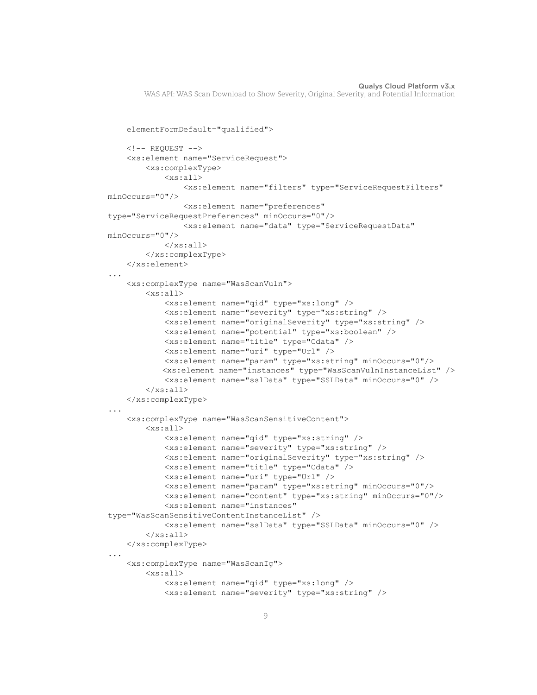```
 elementFormDefault="qualified">
    \langle!-- REQUEST -->
     <xs:element name="ServiceRequest">
          <xs:complexType>
              <xs:all>
                  <xs:element name="filters" type="ServiceRequestFilters" 
minOccurs="0"/>
                  <xs:element name="preferences" 
type="ServiceRequestPreferences" minOccurs="0"/>
                  <xs:element name="data" type="ServiceRequestData" 
minOccurs="0"/>
             \langle xs: \text{all}\rangle </xs:complexType>
     </xs:element>
...
     <xs:complexType name="WasScanVuln">
         <sub>xs</sub>:<sub>a11></sub></sub>
              <xs:element name="qid" type="xs:long" />
              <xs:element name="severity" type="xs:string" />
              <xs:element name="originalSeverity" type="xs:string" />
              <xs:element name="potential" type="xs:boolean" />
              <xs:element name="title" type="Cdata" />
              <xs:element name="uri" type="Url" />
              <xs:element name="param" type="xs:string" minOccurs="0"/>
             <xs:element name="instances" type="WasScanVulnInstanceList" />
              <xs:element name="sslData" type="SSLData" minOccurs="0" />
         \langle xs: \text{all}\rangle </xs:complexType>
...
     <xs:complexType name="WasScanSensitiveContent">
          <xs:all>
              <xs:element name="qid" type="xs:string" />
              <xs:element name="severity" type="xs:string" />
              <xs:element name="originalSeverity" type="xs:string" />
              <xs:element name="title" type="Cdata" />
              <xs:element name="uri" type="Url" />
              <xs:element name="param" type="xs:string" minOccurs="0"/>
              <xs:element name="content" type="xs:string" minOccurs="0"/>
              <xs:element name="instances" 
type="WasScanSensitiveContentInstanceList" />
              <xs:element name="sslData" type="SSLData" minOccurs="0" />
         \langle xs:all\rangle </xs:complexType>
...
     <xs:complexType name="WasScanIg">
          <xs:all>
              <xs:element name="qid" type="xs:long" />
              <xs:element name="severity" type="xs:string" />
```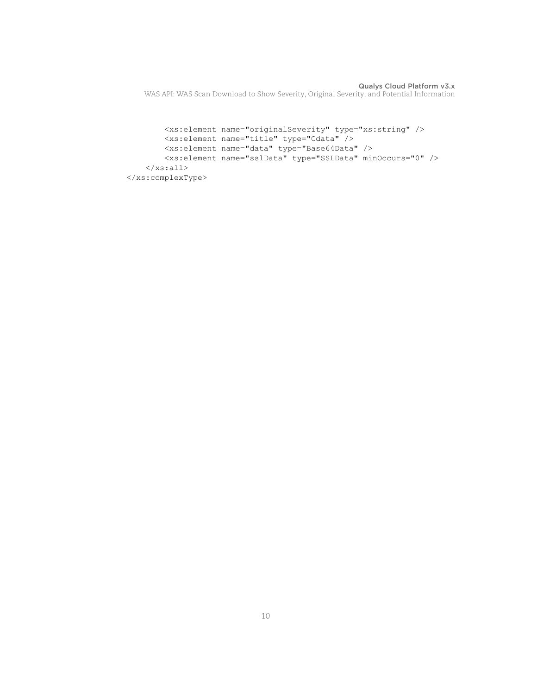```
 <xs:element name="originalSeverity" type="xs:string" />
         <xs:element name="title" type="Cdata" />
         <xs:element name="data" type="Base64Data" />
         <xs:element name="sslData" type="SSLData" minOccurs="0" />
    \langle xs: \text{all}\rangle </xs:complexType>
```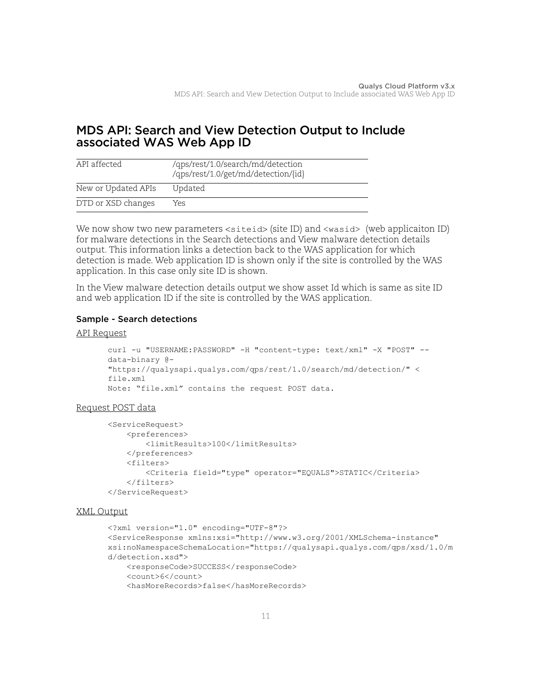# <span id="page-10-0"></span>MDS API: Search and View Detection Output to Include associated WAS Web App ID

| API affected        | /qps/rest/1.0/search/md/detection<br>/qps/rest/1.0/get/md/detection/{id} |
|---------------------|--------------------------------------------------------------------------|
| New or Updated APIs | Updated                                                                  |
| DTD or XSD changes  | Yes                                                                      |

We now show two new parameters <siteid> (site ID) and <wasid> (web applicaiton ID) for malware detections in the Search detections and View malware detection details output. This information links a detection back to the WAS application for which detection is made. Web application ID is shown only if the site is controlled by the WAS application. In this case only site ID is shown.

In the View malware detection details output we show asset Id which is same as site ID and web application ID if the site is controlled by the WAS application.

## Sample - Search detections

#### API Request

```
curl -u "USERNAME:PASSWORD" -H "content-type: text/xml" -X "POST" --
data-binary @-
"https://qualysapi.qualys.com/qps/rest/1.0/search/md/detection/" <
file.xml
Note: "file.xml" contains the request POST data.
```
#### Request POST data

```
<ServiceRequest>
     <preferences>
         <limitResults>100</limitResults>
     </preferences>
     <filters>
         <Criteria field="type" operator="EQUALS">STATIC</Criteria>
     </filters>
</ServiceRequest>
```

```
<?xml version="1.0" encoding="UTF-8"?>
<ServiceResponse xmlns:xsi="http://www.w3.org/2001/XMLSchema-instance" 
xsi:noNamespaceSchemaLocation="https://qualysapi.qualys.com/qps/xsd/1.0/m
d/detection.xsd">
     <responseCode>SUCCESS</responseCode>
     <count>6</count>
     <hasMoreRecords>false</hasMoreRecords>
```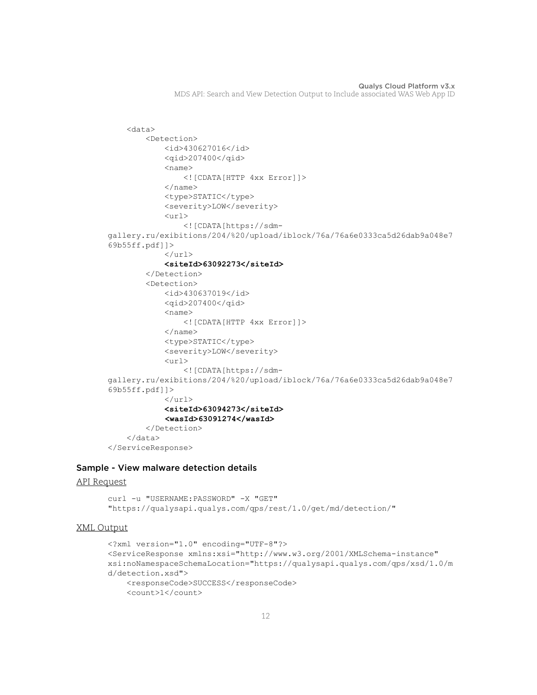```
 <data>
          <Detection>
              <id>430627016</id>
              <qid>207400</qid>
             <name> <![CDATA[HTTP 4xx Error]]>
             \langle/name\rangle <type>STATIC</type>
              <severity>LOW</severity>
              <url>
                   <![CDATA[https://sdm-
gallery.ru/exibitions/204/%20/upload/iblock/76a/76a6e0333ca5d26dab9a048e7
69b55ff.pdf]]>
             \langle/url\rangle <siteId>63092273</siteId>
          </Detection>
          <Detection>
              <id>430637019</id>
              <qid>207400</qid>
             <name> <![CDATA[HTTP 4xx Error]]>
             \langle/name\rangle <type>STATIC</type>
              <severity>LOW</severity>
             \langle \text{un1} \rangle <![CDATA[https://sdm-
gallery.ru/exibitions/204/%20/upload/iblock/76a/76a6e0333ca5d26dab9a048e7
69b55ff.pdf]]>
             \langle/url> <siteId>63094273</siteId>
              <wasId>63091274</wasId>
          </Detection>
     </data>
</ServiceResponse>
```
#### Sample - View malware detection details

#### API Request

curl -u "USERNAME: PASSWORD" -X "GET" "https://qualysapi.qualys.com/qps/rest/1.0/get/md/detection/"

```
<?xml version="1.0" encoding="UTF-8"?>
<ServiceResponse xmlns:xsi="http://www.w3.org/2001/XMLSchema-instance" 
xsi:noNamespaceSchemaLocation="https://qualysapi.qualys.com/qps/xsd/1.0/m
d/detection.xsd">
     <responseCode>SUCCESS</responseCode>
     <count>1</count>
```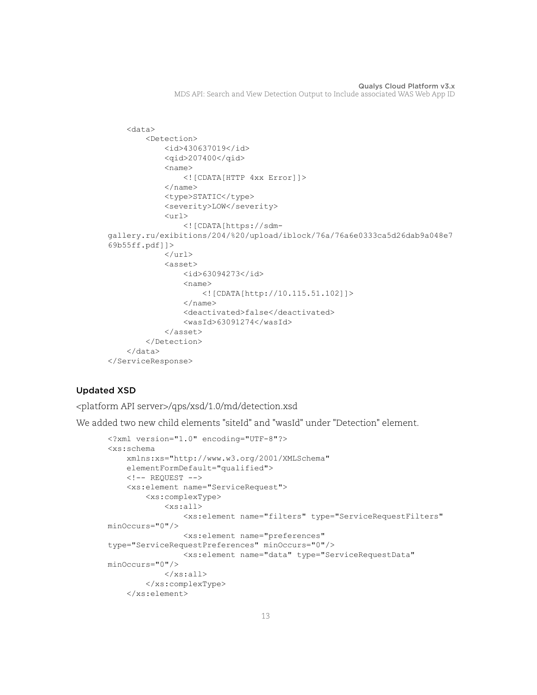```
 <data>
          <Detection>
              <id>430637019</id>
              <qid>207400</qid>
             <name> <![CDATA[HTTP 4xx Error]]>
             \langle/name\rangle <type>STATIC</type>
              <severity>LOW</severity>
              <url>
                   <![CDATA[https://sdm-
gallery.ru/exibitions/204/%20/upload/iblock/76a/76a6e0333ca5d26dab9a048e7
69b55ff.pdf]]>
             \langle/url\rangle <asset>
                   <id>63094273</id>
                  <name> <![CDATA[http://10.115.51.102]]>
                  \langle/name\rangle <deactivated>false</deactivated>
                   <wasId>63091274</wasId>
              </asset>
          </Detection>
     </data>
</ServiceResponse>
```
# Updated XSD

<platform API server>/qps/xsd/1.0/md/detection.xsd

We added two new child elements "siteId" and "wasId" under "Detection" element.

```
<?xml version="1.0" encoding="UTF-8"?>
<xs:schema 
     xmlns:xs="http://www.w3.org/2001/XMLSchema"
     elementFormDefault="qualified">
    \langle!-- REQUEST -->
     <xs:element name="ServiceRequest">
         <xs:complexType>
              <xs:all>
                  <xs:element name="filters" type="ServiceRequestFilters" 
minOccurs="0"/>
                  <xs:element name="preferences" 
type="ServiceRequestPreferences" minOccurs="0"/>
                  <xs:element name="data" type="ServiceRequestData" 
minOccurs="0"/>
             \langle xs: \text{all}\rangle </xs:complexType>
     </xs:element>
```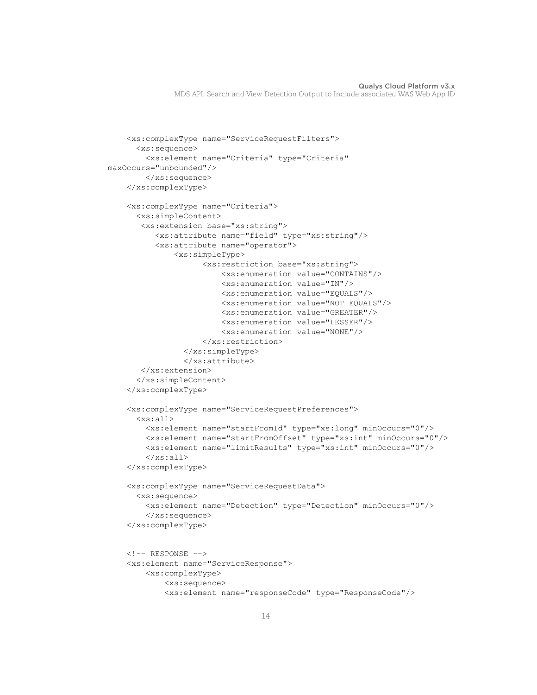```
 <xs:complexType name="ServiceRequestFilters">
       <xs:sequence>
         <xs:element name="Criteria" type="Criteria" 
maxOccurs="unbounded"/>
         </xs:sequence>
     </xs:complexType>
     <xs:complexType name="Criteria">
       <xs:simpleContent>
        <xs:extension base="xs:string">
           <xs:attribute name="field" type="xs:string"/>
           <xs:attribute name="operator">
               <xs:simpleType>
                      <xs:restriction base="xs:string">
                          <xs:enumeration value="CONTAINS"/>
                          <xs:enumeration value="IN"/>
                          <xs:enumeration value="EQUALS"/>
                          <xs:enumeration value="NOT EQUALS"/>
                          <xs:enumeration value="GREATER"/>
                          <xs:enumeration value="LESSER"/>
                          <xs:enumeration value="NONE"/>
                      </xs:restriction>
                 </xs:simpleType>
                 </xs:attribute>
        </xs:extension>
       </xs:simpleContent>
     </xs:complexType>
     <xs:complexType name="ServiceRequestPreferences">
       <xs:all>
         <xs:element name="startFromId" type="xs:long" minOccurs="0"/>
         <xs:element name="startFromOffset" type="xs:int" minOccurs="0"/>
         <xs:element name="limitResults" type="xs:int" minOccurs="0"/>
        \langle/xs:all>
     </xs:complexType>
     <xs:complexType name="ServiceRequestData">
       <xs:sequence>
         <xs:element name="Detection" type="Detection" minOccurs="0"/>
         </xs:sequence>
     </xs:complexType>
    \langle!-- RESPONSE -->
     <xs:element name="ServiceResponse">
         <xs:complexType>
             <xs:sequence>
             <xs:element name="responseCode" type="ResponseCode"/>
```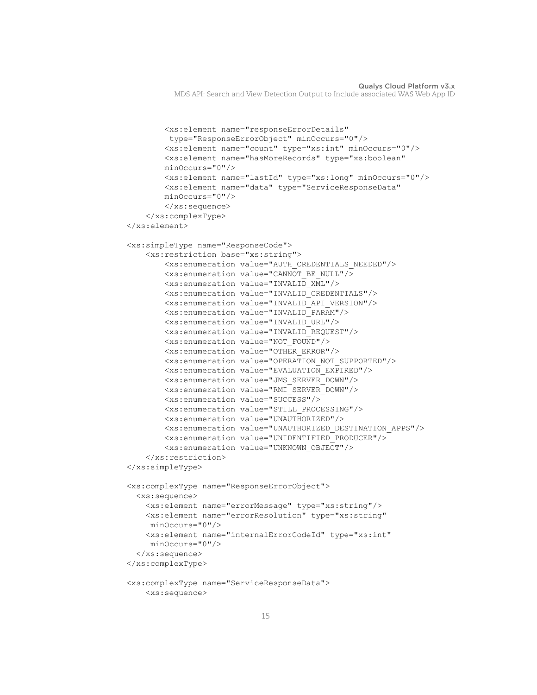```
 <xs:element name="responseErrorDetails"
          type="ResponseErrorObject" minOccurs="0"/>
         <xs:element name="count" type="xs:int" minOccurs="0"/>
         <xs:element name="hasMoreRecords" type="xs:boolean"
         minOccurs="0"/>
         <xs:element name="lastId" type="xs:long" minOccurs="0"/>
         <xs:element name="data" type="ServiceResponseData"
         minOccurs="0"/>
         </xs:sequence>
     </xs:complexType>
 </xs:element>
 <xs:simpleType name="ResponseCode">
     <xs:restriction base="xs:string">
         <xs:enumeration value="AUTH_CREDENTIALS_NEEDED"/>
         <xs:enumeration value="CANNOT_BE_NULL"/>
         <xs:enumeration value="INVALID_XML"/>
         <xs:enumeration value="INVALID_CREDENTIALS"/>
         <xs:enumeration value="INVALID_API_VERSION"/>
         <xs:enumeration value="INVALID_PARAM"/> 
         <xs:enumeration value="INVALID_URL"/>
         <xs:enumeration value="INVALID_REQUEST"/>
         <xs:enumeration value="NOT_FOUND"/>
         <xs:enumeration value="OTHER_ERROR"/>
         <xs:enumeration value="OPERATION_NOT_SUPPORTED"/>
         <xs:enumeration value="EVALUATION_EXPIRED"/>
         <xs:enumeration value="JMS_SERVER_DOWN"/>
         <xs:enumeration value="RMI_SERVER_DOWN"/>
         <xs:enumeration value="SUCCESS"/>
         <xs:enumeration value="STILL_PROCESSING"/>
         <xs:enumeration value="UNAUTHORIZED"/>
         <xs:enumeration value="UNAUTHORIZED_DESTINATION_APPS"/>
         <xs:enumeration value="UNIDENTIFIED_PRODUCER"/>
         <xs:enumeration value="UNKNOWN_OBJECT"/> 
     </xs:restriction>
 </xs:simpleType>
 <xs:complexType name="ResponseErrorObject">
  <xs:sequence>
     <xs:element name="errorMessage" type="xs:string"/>
    <xs:element name="errorResolution" type="xs:string"
     minOccurs="0"/>
     <xs:element name="internalErrorCodeId" type="xs:int"
     minOccurs="0"/>
   </xs:sequence>
 </xs:complexType>
 <xs:complexType name="ServiceResponseData">
    <xs:sequence>
```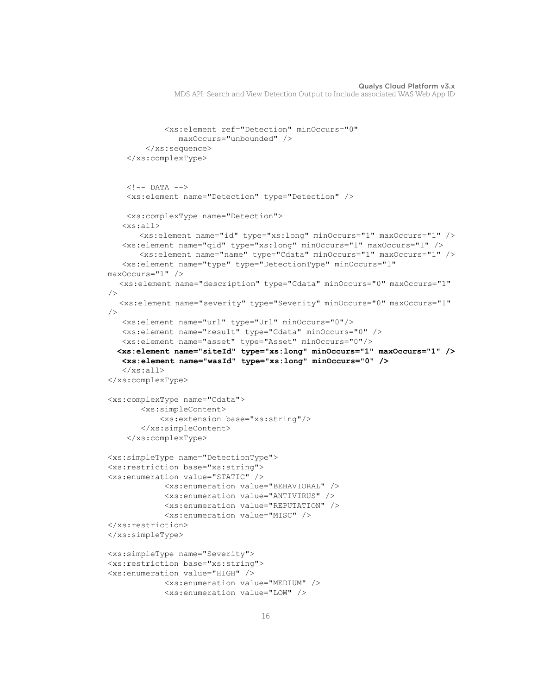```
 <xs:element ref="Detection" minOccurs="0"
                maxOccurs="unbounded" />
         </xs:sequence>
     </xs:complexType>
    \langle!-- DATA -->
     <xs:element name="Detection" type="Detection" />
     <xs:complexType name="Detection">
    <xs:all>
        <xs:element name="id" type="xs:long" minOccurs="1" maxOccurs="1" />
    <xs:element name="qid" type="xs:long" minOccurs="1" maxOccurs="1" />
        <xs:element name="name" type="Cdata" minOccurs="1" maxOccurs="1" />
    <xs:element name="type" type="DetectionType" minOccurs="1" 
maxOccurs="1" />
   <xs:element name="description" type="Cdata" minOccurs="0" maxOccurs="1" 
/>
   <xs:element name="severity" type="Severity" minOccurs="0" maxOccurs="1" 
/>
    <xs:element name="url" type="Url" minOccurs="0"/>
    <xs:element name="result" type="Cdata" minOccurs="0" />
    <xs:element name="asset" type="Asset" minOccurs="0"/>
   <xs:element name="siteId" type="xs:long" minOccurs="1" maxOccurs="1" />
    <xs:element name="wasId" type="xs:long" minOccurs="0" />
   \langle x s: a 11 \rangle</xs:complexType>
<xs:complexType name="Cdata">
        <xs:simpleContent>
            <xs:extension base="xs:string"/>
        </xs:simpleContent>
     </xs:complexType>
<xs:simpleType name="DetectionType">
<xs:restriction base="xs:string">
<xs:enumeration value="STATIC" />
             <xs:enumeration value="BEHAVIORAL" />
             <xs:enumeration value="ANTIVIRUS" />
             <xs:enumeration value="REPUTATION" />
             <xs:enumeration value="MISC" />
</xs:restriction>
</xs:simpleType>
<xs:simpleType name="Severity">
<xs:restriction base="xs:string">
<xs:enumeration value="HIGH" />
             <xs:enumeration value="MEDIUM" />
             <xs:enumeration value="LOW" />
```